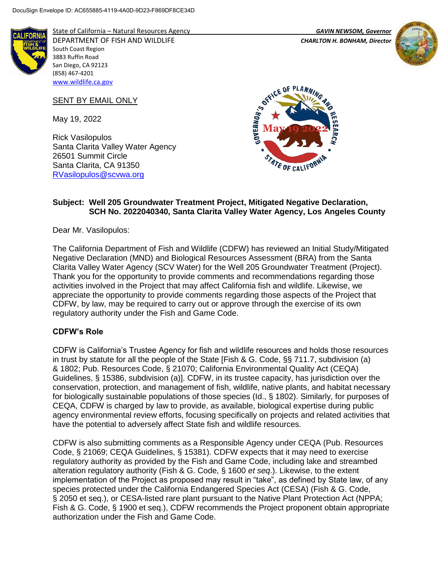

State of California – Natural Resources Agency *GAVIN NEWSOM, Governor* DEPARTMENT OF FISH AND WILDLIFE *CHARLTON H. BONHAM, Director*  South Coast Region 3883 Ruffin Road San Diego, CA 92123 (858) 467-4201 [www.wildlife.ca.gov](http://www.wildlife.ca.gov/)

SENT BY EMAIL ONLY

May 19, 2022

Rick Vasilopulos Santa Clarita Valley Water Agency 26501 Summit Circle Santa Clarita, CA 91350 [RVasilopulos@scvwa.org](mailto:RVasilopulos@scvwa.org)





#### **Subject: Well 205 Groundwater Treatment Project, Mitigated Negative Declaration, SCH No. 2022040340, Santa Clarita Valley Water Agency, Los Angeles County**

Dear Mr. Vasilopulos:

The California Department of Fish and Wildlife (CDFW) has reviewed an Initial Study/Mitigated Negative Declaration (MND) and Biological Resources Assessment (BRA) from the Santa Clarita Valley Water Agency (SCV Water) for the Well 205 Groundwater Treatment (Project). Thank you for the opportunity to provide comments and recommendations regarding those activities involved in the Project that may affect California fish and wildlife. Likewise, we appreciate the opportunity to provide comments regarding those aspects of the Project that CDFW, by law, may be required to carry out or approve through the exercise of its own regulatory authority under the Fish and Game Code.

## **CDFW's Role**

CDFW is California's Trustee Agency for fish and wildlife resources and holds those resources in trust by statute for all the people of the State [Fish & G. Code, §§ 711.7, subdivision (a) & 1802; Pub. Resources Code, § 21070; California Environmental Quality Act (CEQA) Guidelines, § 15386, subdivision (a)]. CDFW, in its trustee capacity, has jurisdiction over the conservation, protection, and management of fish, wildlife, native plants, and habitat necessary for biologically sustainable populations of those species (Id., § 1802). Similarly, for purposes of CEQA, CDFW is charged by law to provide, as available, biological expertise during public agency environmental review efforts, focusing specifically on projects and related activities that have the potential to adversely affect State fish and wildlife resources.

CDFW is also submitting comments as a Responsible Agency under CEQA (Pub. Resources Code, § 21069; CEQA Guidelines, § 15381). CDFW expects that it may need to exercise regulatory authority as provided by the Fish and Game Code, including lake and streambed alteration regulatory authority (Fish & G. Code, § 1600 *et seq*.). Likewise, to the extent implementation of the Project as proposed may result in "take", as defined by State law, of any species protected under the California Endangered Species Act (CESA) (Fish & G. Code, § 2050 et seq.), or CESA-listed rare plant pursuant to the Native Plant Protection Act (NPPA; Fish & G. Code, § 1900 et seq.), CDFW recommends the Project proponent obtain appropriate authorization under the Fish and Game Code.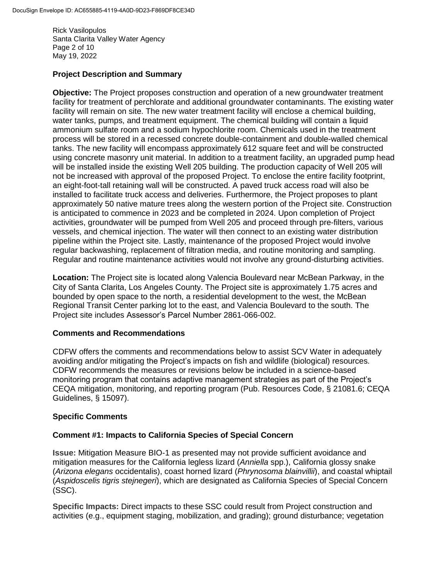Rick Vasilopulos Santa Clarita Valley Water Agency Page 2 of 10 May 19, 2022

#### **Project Description and Summary**

**Objective:** The Project proposes construction and operation of a new groundwater treatment facility for treatment of perchlorate and additional groundwater contaminants. The existing water facility will remain on site. The new water treatment facility will enclose a chemical building, water tanks, pumps, and treatment equipment. The chemical building will contain a liquid ammonium sulfate room and a sodium hypochlorite room. Chemicals used in the treatment process will be stored in a recessed concrete double-containment and double-walled chemical tanks. The new facility will encompass approximately 612 square feet and will be constructed using concrete masonry unit material. In addition to a treatment facility, an upgraded pump head will be installed inside the existing Well 205 building. The production capacity of Well 205 will not be increased with approval of the proposed Project. To enclose the entire facility footprint, an eight-foot-tall retaining wall will be constructed. A paved truck access road will also be installed to facilitate truck access and deliveries. Furthermore, the Project proposes to plant approximately 50 native mature trees along the western portion of the Project site. Construction is anticipated to commence in 2023 and be completed in 2024. Upon completion of Project activities, groundwater will be pumped from Well 205 and proceed through pre-filters, various vessels, and chemical injection. The water will then connect to an existing water distribution pipeline within the Project site. Lastly, maintenance of the proposed Project would involve regular backwashing, replacement of filtration media, and routine monitoring and sampling. Regular and routine maintenance activities would not involve any ground-disturbing activities.

**Location:** The Project site is located along Valencia Boulevard near McBean Parkway, in the City of Santa Clarita, Los Angeles County. The Project site is approximately 1.75 acres and bounded by open space to the north, a residential development to the west, the McBean Regional Transit Center parking lot to the east, and Valencia Boulevard to the south. The Project site includes Assessor's Parcel Number 2861-066-002.

#### **Comments and Recommendations**

CDFW offers the comments and recommendations below to assist SCV Water in adequately avoiding and/or mitigating the Project's impacts on fish and wildlife (biological) resources. CDFW recommends the measures or revisions below be included in a science-based monitoring program that contains adaptive management strategies as part of the Project's CEQA mitigation, monitoring, and reporting program (Pub. Resources Code, § 21081.6; CEQA Guidelines, § 15097).

#### **Specific Comments**

#### **Comment #1: Impacts to California Species of Special Concern**

**Issue:** Mitigation Measure BIO-1 as presented may not provide sufficient avoidance and mitigation measures for the California legless lizard (*Anniella* spp.), California glossy snake (*Arizona elegans* occidentalis), coast horned lizard (*Phrynosoma blainvillii*), and coastal whiptail (*Aspidoscelis tigris stejnegeri*), which are designated as California Species of Special Concern (SSC).

**Specific Impacts:** Direct impacts to these SSC could result from Project construction and activities (e.g., equipment staging, mobilization, and grading); ground disturbance; vegetation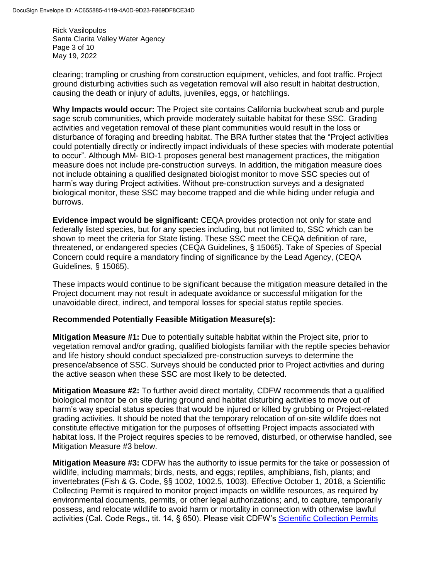Rick Vasilopulos Santa Clarita Valley Water Agency Page 3 of 10 May 19, 2022

clearing; trampling or crushing from construction equipment, vehicles, and foot traffic. Project ground disturbing activities such as vegetation removal will also result in habitat destruction, causing the death or injury of adults, juveniles, eggs, or hatchlings.

**Why Impacts would occur:** The Project site contains California buckwheat scrub and purple sage scrub communities, which provide moderately suitable habitat for these SSC. Grading activities and vegetation removal of these plant communities would result in the loss or disturbance of foraging and breeding habitat. The BRA further states that the "Project activities could potentially directly or indirectly impact individuals of these species with moderate potential to occur". Although MM- BIO-1 proposes general best management practices, the mitigation measure does not include pre-construction surveys. In addition, the mitigation measure does not include obtaining a qualified designated biologist monitor to move SSC species out of harm's way during Project activities. Without pre-construction surveys and a designated biological monitor, these SSC may become trapped and die while hiding under refugia and burrows.

**Evidence impact would be significant:** CEQA provides protection not only for state and federally listed species, but for any species including, but not limited to, SSC which can be shown to meet the criteria for State listing. These SSC meet the CEQA definition of rare, threatened, or endangered species (CEQA Guidelines, § 15065). Take of Species of Special Concern could require a mandatory finding of significance by the Lead Agency, (CEQA Guidelines, § 15065).

These impacts would continue to be significant because the mitigation measure detailed in the Project document may not result in adequate avoidance or successful mitigation for the unavoidable direct, indirect, and temporal losses for special status reptile species.

## **Recommended Potentially Feasible Mitigation Measure(s):**

**Mitigation Measure #1:** Due to potentially suitable habitat within the Project site, prior to vegetation removal and/or grading, qualified biologists familiar with the reptile species behavior and life history should conduct specialized pre-construction surveys to determine the presence/absence of SSC. Surveys should be conducted prior to Project activities and during the active season when these SSC are most likely to be detected.

**Mitigation Measure #2:** To further avoid direct mortality, CDFW recommends that a qualified biological monitor be on site during ground and habitat disturbing activities to move out of harm's way special status species that would be injured or killed by grubbing or Project-related grading activities. It should be noted that the temporary relocation of on-site wildlife does not constitute effective mitigation for the purposes of offsetting Project impacts associated with habitat loss. If the Project requires species to be removed, disturbed, or otherwise handled, see Mitigation Measure #3 below.

**Mitigation Measure #3:** CDFW has the authority to issue permits for the take or possession of wildlife, including mammals; birds, nests, and eggs; reptiles, amphibians, fish, plants; and invertebrates (Fish & G. Code, §§ 1002, 1002.5, 1003). Effective October 1, 2018, a Scientific Collecting Permit is required to monitor project impacts on wildlife resources, as required by environmental documents, permits, or other legal authorizations; and, to capture, temporarily possess, and relocate wildlife to avoid harm or mortality in connection with otherwise lawful activities (Cal. Code Regs., tit. 14, § 650). Please visit CDFW's Scientific [Collection Permits](https://wildlife.ca.gov/Licensing/Scientific-Collecting#53949678)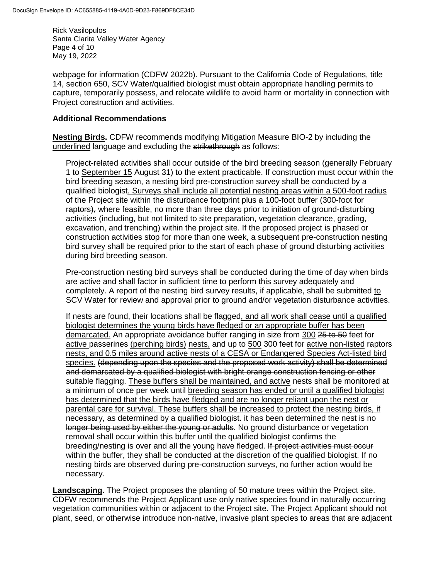Rick Vasilopulos Santa Clarita Valley Water Agency Page 4 of 10 May 19, 2022

webpage for information (CDFW 2022b). Pursuant to the California Code of Regulations, title 14, section 650, SCV Water/qualified biologist must obtain appropriate handling permits to capture, temporarily possess, and relocate wildlife to avoid harm or mortality in connection with Project construction and activities.

#### **Additional Recommendations**

**Nesting Birds.** CDFW recommends modifying Mitigation Measure BIO-2 by including the underlined language and excluding the strikethrough as follows:

Project-related activities shall occur outside of the bird breeding season (generally February 1 to September 15 August 34) to the extent practicable. If construction must occur within the bird breeding season, a nesting bird pre-construction survey shall be conducted by a qualified biologist. Surveys shall include all potential nesting areas within a 500-foot radius of the Project site within the disturbance footprint plus a 100-foot buffer (300-foot for raptors), where feasible, no more than three days prior to initiation of ground-disturbing activities (including, but not limited to site preparation, vegetation clearance, grading, excavation, and trenching) within the project site. If the proposed project is phased or construction activities stop for more than one week, a subsequent pre-construction nesting bird survey shall be required prior to the start of each phase of ground disturbing activities during bird breeding season.

Pre-construction nesting bird surveys shall be conducted during the time of day when birds are active and shall factor in sufficient time to perform this survey adequately and completely. A report of the nesting bird survey results, if applicable, shall be submitted to SCV Water for review and approval prior to ground and/or vegetation disturbance activities.

If nests are found, their locations shall be flagged, and all work shall cease until a qualified biologist determines the young birds have fledged or an appropriate buffer has been demarcated. An appropriate avoidance buffer ranging in size from 300 25 to 50 feet for active passerines (perching birds) nests, and up to 500 300 feet for active non-listed raptors nests, and 0.5 miles around active nests of a CESA or Endangered Species Act-listed bird species. (depending upon the species and the proposed work activity) shall be determined and demarcated by a qualified biologist with bright orange construction fencing or other suitable flagging. These buffers shall be maintained, and active-nests shall be monitored at a minimum of once per week until breeding season has ended or until a qualified biologist has determined that the birds have fledged and are no longer reliant upon the nest or parental care for survival. These buffers shall be increased to protect the nesting birds, if necessary, as determined by a qualified biologist. it has been determined the nest is no longer being used by either the young or adults. No ground disturbance or vegetation removal shall occur within this buffer until the qualified biologist confirms the breeding/nesting is over and all the young have fledged. If project activities must occur within the buffer, they shall be conducted at the discretion of the qualified biologist. If no nesting birds are observed during pre-construction surveys, no further action would be necessary.

**Landscaping.** The Project proposes the planting of 50 mature trees within the Project site. CDFW recommends the Project Applicant use only native species found in naturally occurring vegetation communities within or adjacent to the Project site. The Project Applicant should not plant, seed, or otherwise introduce non-native, invasive plant species to areas that are adjacent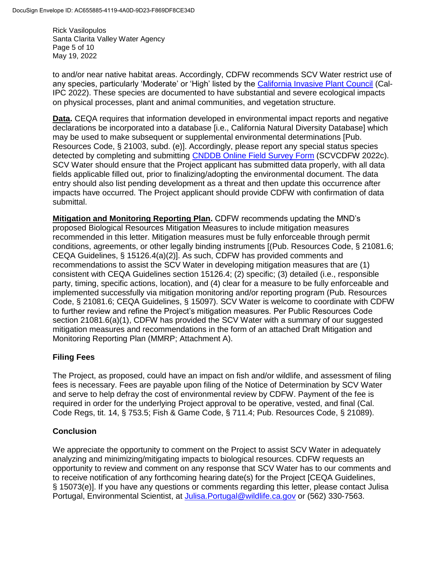Rick Vasilopulos Santa Clarita Valley Water Agency Page 5 of 10 May 19, 2022

to and/or near native habitat areas. Accordingly, CDFW recommends SCV Water restrict use of any species, particularly 'Moderate' or 'High' listed by the [California Invasive Plant Council](https://www.cal-ipc.org/plants/inventory/) (Cal-IPC 2022). These species are documented to have substantial and severe ecological impacts on physical processes, plant and animal communities, and vegetation structure.

**Data.** CEQA requires that information developed in environmental impact reports and negative declarations be incorporated into a database [i.e., California Natural Diversity Database] which may be used to make subsequent or supplemental environmental determinations [Pub. Resources Code, § 21003, subd. (e)]. Accordingly, please report any special status species detected by completing and submitting [CNDDB Online Field Survey Form](https://wildlife.ca.gov/Data/CNDDB/Submitting-Data) (SCVCDFW 2022c). SCV Water should ensure that the Project applicant has submitted data properly, with all data fields applicable filled out, prior to finalizing/adopting the environmental document. The data entry should also list pending development as a threat and then update this occurrence after impacts have occurred. The Project applicant should provide CDFW with confirmation of data submittal.

**Mitigation and Monitoring Reporting Plan.** CDFW recommends updating the MND's proposed Biological Resources Mitigation Measures to include mitigation measures recommended in this letter. Mitigation measures must be fully enforceable through permit conditions, agreements, or other legally binding instruments [(Pub. Resources Code, § 21081.6; CEQA Guidelines, § 15126.4(a)(2)]. As such, CDFW has provided comments and recommendations to assist the SCV Water in developing mitigation measures that are (1) consistent with CEQA Guidelines section 15126.4; (2) specific; (3) detailed (i.e., responsible party, timing, specific actions, location), and (4) clear for a measure to be fully enforceable and implemented successfully via mitigation monitoring and/or reporting program (Pub. Resources Code, § 21081.6; CEQA Guidelines, § 15097). SCV Water is welcome to coordinate with CDFW to further review and refine the Project's mitigation measures. Per Public Resources Code section 21081.6(a)(1), CDFW has provided the SCV Water with a summary of our suggested mitigation measures and recommendations in the form of an attached Draft Mitigation and Monitoring Reporting Plan (MMRP; Attachment A).

## **Filing Fees**

The Project, as proposed, could have an impact on fish and/or wildlife, and assessment of filing fees is necessary. Fees are payable upon filing of the Notice of Determination by SCV Water and serve to help defray the cost of environmental review by CDFW. Payment of the fee is required in order for the underlying Project approval to be operative, vested, and final (Cal. Code Regs, tit. 14, § 753.5; Fish & Game Code, § 711.4; Pub. Resources Code, § 21089).

## **Conclusion**

We appreciate the opportunity to comment on the Project to assist SCV Water in adequately analyzing and minimizing/mitigating impacts to biological resources. CDFW requests an opportunity to review and comment on any response that SCV Water has to our comments and to receive notification of any forthcoming hearing date(s) for the Project [CEQA Guidelines, § 15073(e)]. If you have any questions or comments regarding this letter, please contact Julisa Portugal, Environmental Scientist, at [Julisa.Portugal@wildlife.ca.gov](mailto:Julisa.Portugal@wildlife.ca.gov) or (562) 330-7563.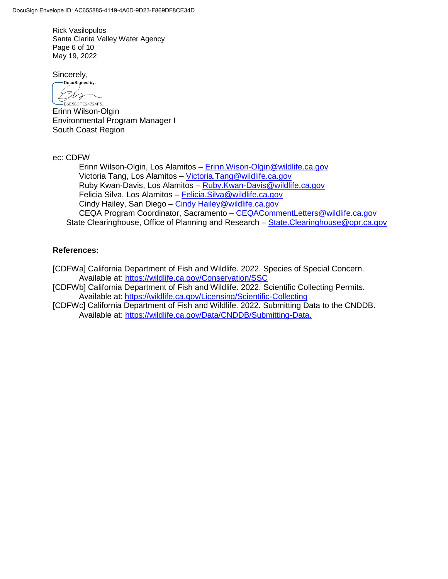Rick Vasilopulos Santa Clarita Valley Water Agency Page 6 of 10 May 19, 2022

Sincerely,

-DocuSigned by: Dra -B6E58CFE24724F5...

Erinn Wilson-Olgin Environmental Program Manager I South Coast Region

ec: CDFW

Erinn Wilson-Olgin, Los Alamitos – [Erinn.Wison-Olgin@wildlife.ca.gov](mailto:Erinn.Wison-Olgin@wildlife.ca.gov) Victoria Tang, Los Alamitos – [Victoria.Tang@wildlife.ca.gov](mailto:Victoria.Tang@wildlife.ca.gov) Ruby Kwan-Davis, Los Alamitos – [Ruby.Kwan-Davis@wildlife.ca.gov](mailto:Ruby.Kwan-Davis@wildlife.ca.gov) Felicia Silva, Los Alamitos – [Felicia.Silva@wildlife.ca.gov](mailto:Felicia.Silva@wildlife.ca.gov) Cindy Hailey, San Diego – [Cindy Hailey@wildlife.ca.gov](mailto:Cindy%20Hailey@wildlife.ca.gov) CEQA Program Coordinator, Sacramento - CEQACommentLetters@wildlife.ca.gov State Clearinghouse, Office of Planning and Research – [State.Clearinghouse@opr.ca.gov](mailto:State.Clearinghouse@opr.ca.gov)

## **References:**

[CDFWa] California Department of Fish and Wildlife. 2022. Species of Special Concern. Available at:<https://wildlife.ca.gov/Conservation/SSC>

[CDFWb] California Department of Fish and Wildlife. 2022. Scientific Collecting Permits. Available at: <https://wildlife.ca.gov/Licensing/Scientific-Collecting>

[CDFWc] California Department of Fish and Wildlife. 2022. Submitting Data to the CNDDB. Available at: [https://wildlife.ca.gov/Data/CNDDB/Submitting-Data.](https://wildlife.ca.gov/Data/CNDDB/Submitting-Data)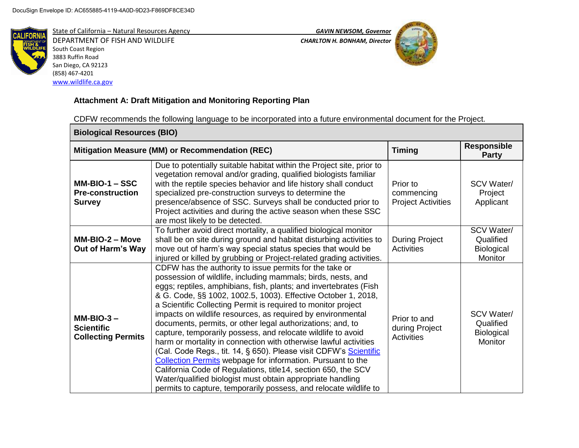

State of California – Natural Resources Agency *GAVIN NEWSOM, Governor* DEPARTMENT OF FISH AND WILDLIFE *CHARLTON H. BONHAM, Director*  South Coast Region 3883 Ruffin Road San Diego, CA 92123 (858) 467-4201 [www.wildlife.ca.gov](http://www.wildlife.ca.gov/)





# **Attachment A: Draft Mitigation and Monitoring Reporting Plan**

CDFW recommends the following language to be incorporated into a future environmental document for the Project.

| <b>Biological Resources (BIO)</b>                              |                                                                                                                                                                                                                                                                                                                                                                                                                                                                                                                                                                                                                                                                                                                                                                                                                                                                                                                                                |                                                     |                                                         |  |
|----------------------------------------------------------------|------------------------------------------------------------------------------------------------------------------------------------------------------------------------------------------------------------------------------------------------------------------------------------------------------------------------------------------------------------------------------------------------------------------------------------------------------------------------------------------------------------------------------------------------------------------------------------------------------------------------------------------------------------------------------------------------------------------------------------------------------------------------------------------------------------------------------------------------------------------------------------------------------------------------------------------------|-----------------------------------------------------|---------------------------------------------------------|--|
|                                                                | Mitigation Measure (MM) or Recommendation (REC)                                                                                                                                                                                                                                                                                                                                                                                                                                                                                                                                                                                                                                                                                                                                                                                                                                                                                                | <b>Timing</b>                                       | <b>Responsible</b><br><b>Party</b>                      |  |
| $MM-BIO-1 - SSC$<br><b>Pre-construction</b><br><b>Survey</b>   | Due to potentially suitable habitat within the Project site, prior to<br>vegetation removal and/or grading, qualified biologists familiar<br>with the reptile species behavior and life history shall conduct<br>specialized pre-construction surveys to determine the<br>presence/absence of SSC. Surveys shall be conducted prior to<br>Project activities and during the active season when these SSC<br>are most likely to be detected.                                                                                                                                                                                                                                                                                                                                                                                                                                                                                                    | Prior to<br>commencing<br><b>Project Activities</b> | <b>SCV Water/</b><br>Project<br>Applicant               |  |
| $MM-BIO-2 - Move$<br><b>Out of Harm's Way</b>                  | To further avoid direct mortality, a qualified biological monitor<br>shall be on site during ground and habitat disturbing activities to<br>move out of harm's way special status species that would be<br>injured or killed by grubbing or Project-related grading activities.                                                                                                                                                                                                                                                                                                                                                                                                                                                                                                                                                                                                                                                                | <b>During Project</b><br><b>Activities</b>          | SCV Water/<br>Qualified<br><b>Biological</b><br>Monitor |  |
| $MM-BIO-3 -$<br><b>Scientific</b><br><b>Collecting Permits</b> | CDFW has the authority to issue permits for the take or<br>possession of wildlife, including mammals; birds, nests, and<br>eggs; reptiles, amphibians, fish, plants; and invertebrates (Fish<br>& G. Code, §§ 1002, 1002.5, 1003). Effective October 1, 2018,<br>a Scientific Collecting Permit is required to monitor project<br>impacts on wildlife resources, as required by environmental<br>documents, permits, or other legal authorizations; and, to<br>capture, temporarily possess, and relocate wildlife to avoid<br>harm or mortality in connection with otherwise lawful activities<br>(Cal. Code Regs., tit. 14, § 650). Please visit CDFW's Scientific<br><b>Collection Permits webpage for information. Pursuant to the</b><br>California Code of Regulations, title14, section 650, the SCV<br>Water/qualified biologist must obtain appropriate handling<br>permits to capture, temporarily possess, and relocate wildlife to | Prior to and<br>during Project<br><b>Activities</b> | <b>SCV Water/</b><br>Qualified<br>Biological<br>Monitor |  |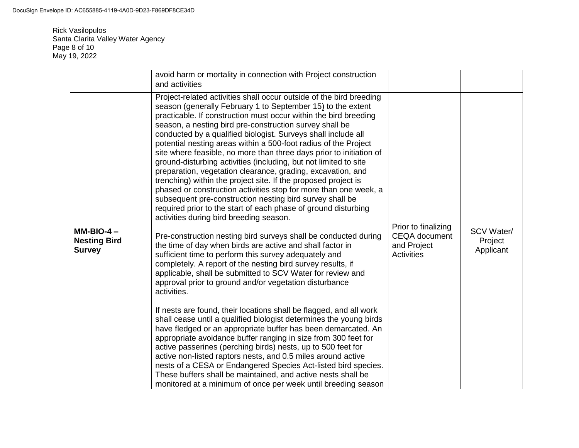Rick Vasilopulos Santa Clarita Valley Water Agency Page 8 of 10 May 19, 2022

|                                                     | avoid harm or mortality in connection with Project construction<br>and activities                                                                                                                                                                                                                                                                                                                                                                                                                                                                                                                                                                                                                                                                                                                                                                                                                                                                                                                                                                                                                                                                                                                                                                                                                                                                                                                                                                                                                                                                                                                                                                                                                                                                                                                                                                                                                                                               |                                                                          |                                           |
|-----------------------------------------------------|-------------------------------------------------------------------------------------------------------------------------------------------------------------------------------------------------------------------------------------------------------------------------------------------------------------------------------------------------------------------------------------------------------------------------------------------------------------------------------------------------------------------------------------------------------------------------------------------------------------------------------------------------------------------------------------------------------------------------------------------------------------------------------------------------------------------------------------------------------------------------------------------------------------------------------------------------------------------------------------------------------------------------------------------------------------------------------------------------------------------------------------------------------------------------------------------------------------------------------------------------------------------------------------------------------------------------------------------------------------------------------------------------------------------------------------------------------------------------------------------------------------------------------------------------------------------------------------------------------------------------------------------------------------------------------------------------------------------------------------------------------------------------------------------------------------------------------------------------------------------------------------------------------------------------------------------------|--------------------------------------------------------------------------|-------------------------------------------|
| $MM-BIO-4-$<br><b>Nesting Bird</b><br><b>Survey</b> | Project-related activities shall occur outside of the bird breeding<br>season (generally February 1 to September 15) to the extent<br>practicable. If construction must occur within the bird breeding<br>season, a nesting bird pre-construction survey shall be<br>conducted by a qualified biologist. Surveys shall include all<br>potential nesting areas within a 500-foot radius of the Project<br>site where feasible, no more than three days prior to initiation of<br>ground-disturbing activities (including, but not limited to site<br>preparation, vegetation clearance, grading, excavation, and<br>trenching) within the project site. If the proposed project is<br>phased or construction activities stop for more than one week, a<br>subsequent pre-construction nesting bird survey shall be<br>required prior to the start of each phase of ground disturbing<br>activities during bird breeding season.<br>Pre-construction nesting bird surveys shall be conducted during<br>the time of day when birds are active and shall factor in<br>sufficient time to perform this survey adequately and<br>completely. A report of the nesting bird survey results, if<br>applicable, shall be submitted to SCV Water for review and<br>approval prior to ground and/or vegetation disturbance<br>activities.<br>If nests are found, their locations shall be flagged, and all work<br>shall cease until a qualified biologist determines the young birds<br>have fledged or an appropriate buffer has been demarcated. An<br>appropriate avoidance buffer ranging in size from 300 feet for<br>active passerines (perching birds) nests, up to 500 feet for<br>active non-listed raptors nests, and 0.5 miles around active<br>nests of a CESA or Endangered Species Act-listed bird species.<br>These buffers shall be maintained, and active nests shall be<br>monitored at a minimum of once per week until breeding season | Prior to finalizing<br><b>CEQA</b> document<br>and Project<br>Activities | <b>SCV Water/</b><br>Project<br>Applicant |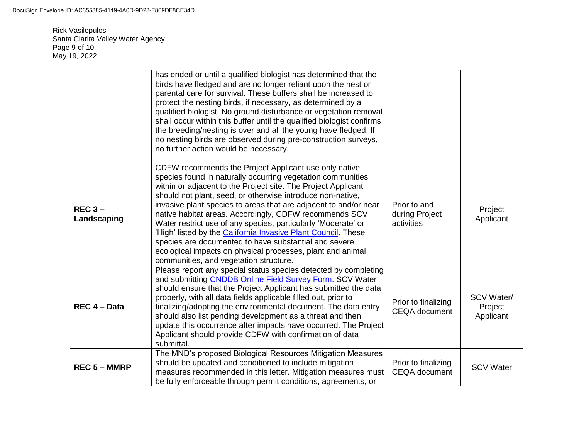Rick Vasilopulos Santa Clarita Valley Water Agency Page 9 of 10 May 19, 2022

|                         | has ended or until a qualified biologist has determined that the<br>birds have fledged and are no longer reliant upon the nest or<br>parental care for survival. These buffers shall be increased to<br>protect the nesting birds, if necessary, as determined by a<br>qualified biologist. No ground disturbance or vegetation removal<br>shall occur within this buffer until the qualified biologist confirms<br>the breeding/nesting is over and all the young have fledged. If<br>no nesting birds are observed during pre-construction surveys,<br>no further action would be necessary.                                                                                       |                                              |                                           |
|-------------------------|--------------------------------------------------------------------------------------------------------------------------------------------------------------------------------------------------------------------------------------------------------------------------------------------------------------------------------------------------------------------------------------------------------------------------------------------------------------------------------------------------------------------------------------------------------------------------------------------------------------------------------------------------------------------------------------|----------------------------------------------|-------------------------------------------|
| $REC3 -$<br>Landscaping | CDFW recommends the Project Applicant use only native<br>species found in naturally occurring vegetation communities<br>within or adjacent to the Project site. The Project Applicant<br>should not plant, seed, or otherwise introduce non-native,<br>invasive plant species to areas that are adjacent to and/or near<br>native habitat areas. Accordingly, CDFW recommends SCV<br>Water restrict use of any species, particularly 'Moderate' or<br>'High' listed by the California Invasive Plant Council. These<br>species are documented to have substantial and severe<br>ecological impacts on physical processes, plant and animal<br>communities, and vegetation structure. | Prior to and<br>during Project<br>activities | Project<br>Applicant                      |
| REC 4 - Data            | Please report any special status species detected by completing<br>and submitting CNDDB Online Field Survey Form. SCV Water<br>should ensure that the Project Applicant has submitted the data<br>properly, with all data fields applicable filled out, prior to<br>finalizing/adopting the environmental document. The data entry<br>should also list pending development as a threat and then<br>update this occurrence after impacts have occurred. The Project<br>Applicant should provide CDFW with confirmation of data<br>submittal.                                                                                                                                          | Prior to finalizing<br><b>CEQA</b> document  | <b>SCV Water/</b><br>Project<br>Applicant |
| <b>REC 5 - MMRP</b>     | The MND's proposed Biological Resources Mitigation Measures<br>should be updated and conditioned to include mitigation<br>measures recommended in this letter. Mitigation measures must<br>be fully enforceable through permit conditions, agreements, or                                                                                                                                                                                                                                                                                                                                                                                                                            | Prior to finalizing<br><b>CEQA</b> document  | <b>SCV Water</b>                          |